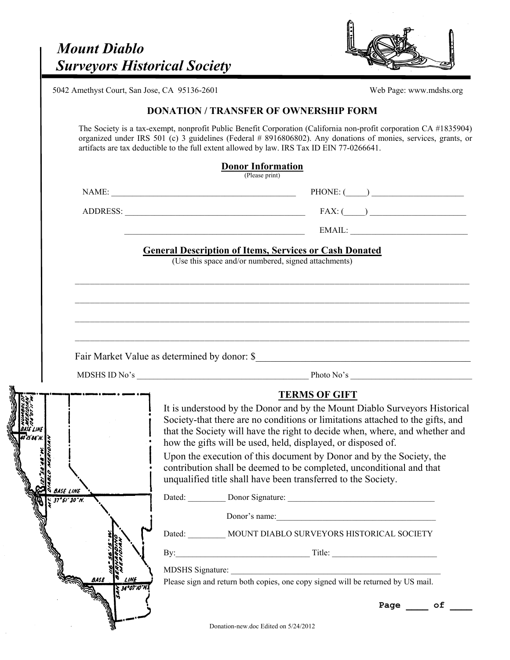

5042 Amethyst Court, San Jose, CA 95136-2601

## **DONATION / TRANSFER OF OWNERSHIP FORM**

The Society is a tax-exempt, nonprofit Public Benefit Corporation (California non-profit corporation CA #1835904) organized under IRS 501 (c) 3 guidelines (Federal # 8916806802). Any donations of monies, services, grants, or artifacts are tax deductible to the full extent allowed by law. IRS Tax ID EIN 77-0266641.

|                             | $FAX: (\_\_)$                                                                                                                                                                                                                  |
|-----------------------------|--------------------------------------------------------------------------------------------------------------------------------------------------------------------------------------------------------------------------------|
|                             | $\pmb{\text{EMAIL:}\_\_\_\_}$<br><u> 1989 - Johann Barbara, martxa eta idazlearia (h. 1982).</u>                                                                                                                               |
|                             | <b>General Description of Items, Services or Cash Donated</b>                                                                                                                                                                  |
|                             | (Use this space and/or numbered, signed attachments)                                                                                                                                                                           |
|                             |                                                                                                                                                                                                                                |
|                             |                                                                                                                                                                                                                                |
|                             |                                                                                                                                                                                                                                |
|                             |                                                                                                                                                                                                                                |
|                             |                                                                                                                                                                                                                                |
|                             |                                                                                                                                                                                                                                |
|                             |                                                                                                                                                                                                                                |
|                             |                                                                                                                                                                                                                                |
|                             | <b>TERMS OF GIFT</b>                                                                                                                                                                                                           |
|                             | It is understood by the Donor and by the Mount Diablo Surveyors Historical                                                                                                                                                     |
|                             | Society-that there are no conditions or limitations attached to the gifts, and                                                                                                                                                 |
|                             | that the Society will have the right to decide when, where, and whether and<br>how the gifts will be used, held, displayed, or disposed of.                                                                                    |
|                             | Upon the execution of this document by Donor and by the Society, the                                                                                                                                                           |
|                             | contribution shall be deemed to be completed, unconditional and that                                                                                                                                                           |
| BASE LINE                   | unqualified title shall have been transferred to the Society.                                                                                                                                                                  |
|                             | Dated: Donor Signature: 2000 Contract 2000 Contract 2000 Contract 2000 Contract 2000 Contract 2000 Contract 2000 Contract 2000 Contract 2000 Contract 2000 Contract 2000 Contract 2000 Contract 2000 Contract 2000 Contract 20 |
|                             | Donor's name:                                                                                                                                                                                                                  |
|                             | Dated: _________ MOUNT DIABLO SURVEYORS HISTORICAL SOCIETY                                                                                                                                                                     |
|                             | By: Title: Title: 2008. Title: 2008. Title: 2008. Title: 2008. Title: 2008. Title: 2008. Title: 2008. Title: 2008. Title: 2008. Title: 2008. Title: 2008. Title: 2008. Title: 2008. Title: 2008. Title: 2008. Title: 2008. Tit |
|                             | MDSHS Signature:                                                                                                                                                                                                               |
| :INE<br>BASE<br>34°07'10"N. | Please sign and return both copies, one copy signed will be returned by US mail.                                                                                                                                               |